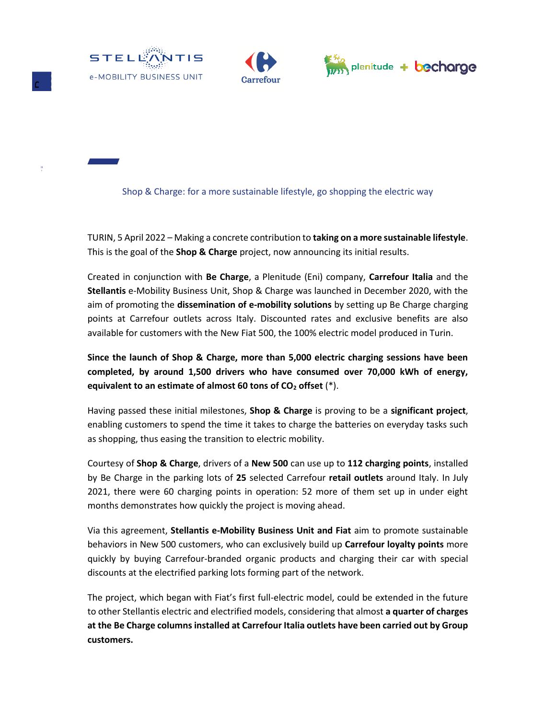

 $\Box$ 





Shop & Charge: for a more sustainable lifestyle, go shopping the electric way

TURIN, 5 April 2022 – Making a concrete contribution to **taking on a more sustainable lifestyle**. This is the goal of the **Shop & Charge** project, now announcing its initial results.

Created in conjunction with **Be Charge**, a Plenitude (Eni) company, **Carrefour Italia** and the **Stellantis** e-Mobility Business Unit, Shop & Charge was launched in December 2020, with the aim of promoting the **dissemination of e-mobility solutions** by setting up Be Charge charging points at Carrefour outlets across Italy. Discounted rates and exclusive benefits are also available for customers with the New Fiat 500, the 100% electric model produced in Turin.

**Since the launch of Shop & Charge, more than 5,000 electric charging sessions have been completed, by around 1,500 drivers who have consumed over 70,000 kWh of energy, equivalent to an estimate of almost 60 tons of CO<sup>2</sup> offset** (\*).

Having passed these initial milestones, **Shop & Charge** is proving to be a **significant project**, enabling customers to spend the time it takes to charge the batteries on everyday tasks such as shopping, thus easing the transition to electric mobility.

Courtesy of **Shop & Charge**, drivers of a **New 500** can use up to **112 charging points**, installed by Be Charge in the parking lots of **25** selected Carrefour **retail outlets** around Italy. In July 2021, there were 60 charging points in operation: 52 more of them set up in under eight months demonstrates how quickly the project is moving ahead.

Via this agreement, **Stellantis e-Mobility Business Unit and Fiat** aim to promote sustainable behaviors in New 500 customers, who can exclusively build up **Carrefour loyalty points** more quickly by buying Carrefour-branded organic products and charging their car with special discounts at the electrified parking lots forming part of the network.

The project, which began with Fiat's first full-electric model, could be extended in the future to other Stellantis electric and electrified models, considering that almost **a quarter of charges at the Be Charge columns installed at Carrefour Italia outlets have been carried out by Group customers.**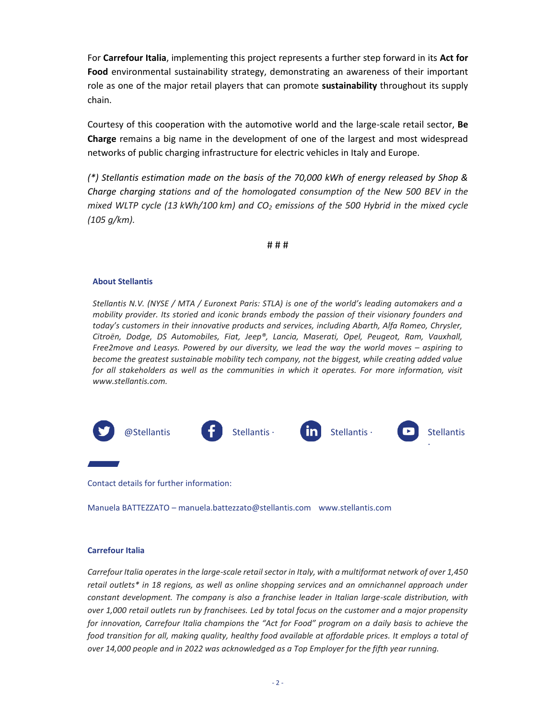For **Carrefour Italia**, implementing this project represents a further step forward in its **Act for Food** environmental sustainability strategy, demonstrating an awareness of their important role as one of the major retail players that can promote **sustainability** throughout its supply chain.

Courtesy of this cooperation with the automotive world and the large-scale retail sector, **Be Charge** remains a big name in the development of one of the largest and most widespread networks of public charging infrastructure for electric vehicles in Italy and Europe.

*(\*) Stellantis estimation made on the basis of the 70,000 kWh of energy released by Shop & Charge charging stations and of the homologated consumption of the New 500 BEV in the mixed WLTP cycle (13 kWh/100 km) and CO<sup>2</sup> emissions of the 500 Hybrid in the mixed cycle (105 g/km).*

# # #

# **About Stellantis**

*Stellantis N.V. (NYSE / MTA / Euronext Paris: STLA) is one of the world's leading automakers and a mobility provider. Its storied and iconic brands embody the passion of their visionary founders and today's customers in their innovative products and services, including Abarth, Alfa Romeo, Chrysler, Citroën, Dodge, DS Automobiles, Fiat, Jeep®, Lancia, Maserati, Opel, Peugeot, Ram, Vauxhall, Free2move and Leasys. Powered by our diversity, we lead the way the world moves – aspiring to become the greatest sustainable mobility tech company, not the biggest, while creating added value for all stakeholders as well as the communities in which it operates. For more information, visit www.stellantis.com.*



Manuela BATTEZZATO – [manuela.battezzato@stellantis.com](mailto:manuela.battezzato@stellantis.com) www.stellantis.com

### **Carrefour Italia**

*Carrefour Italia operates in the large-scale retail sector in Italy, with a multiformat network of over 1,450 retail outlets\* in 18 regions, as well as online shopping services and an omnichannel approach under constant development. The company is also a franchise leader in Italian large-scale distribution, with over 1,000 retail outlets run by franchisees. Led by total focus on the customer and a major propensity for innovation, Carrefour Italia champions the "Act for Food" program on a daily basis to achieve the food transition for all, making quality, healthy food available at affordable prices. It employs a total of over 14,000 people and in 2022 was acknowledged as a Top Employer for the fifth year running.*